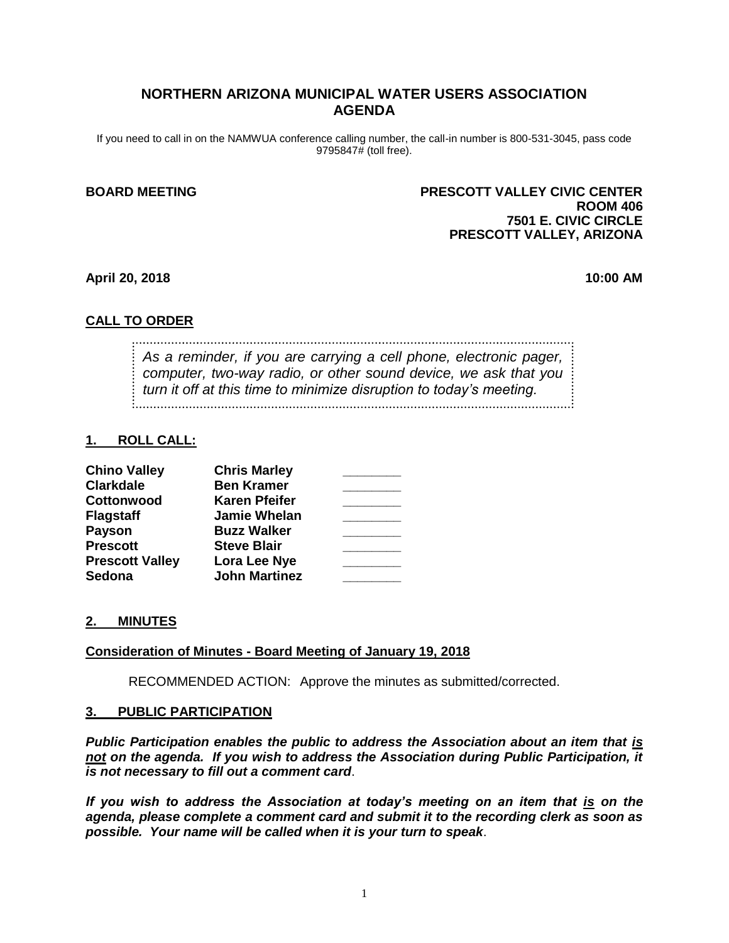## **NORTHERN ARIZONA MUNICIPAL WATER USERS ASSOCIATION AGENDA**

If you need to call in on the NAMWUA conference calling number, the call-in number is 800-531-3045, pass code 9795847# (toll free).

## **BOARD MEETING PRESCOTT VALLEY CIVIC CENTER ROOM 406 7501 E. CIVIC CIRCLE PRESCOTT VALLEY, ARIZONA**

#### **April 20, 2018 10:00 AM**

## **CALL TO ORDER**

*As a reminder, if you are carrying a cell phone, electronic pager, computer, two-way radio, or other sound device, we ask that you turn it off at this time to minimize disruption to today's meeting.*

#### **1. ROLL CALL:**

| <b>Chino Valley</b>    | <b>Chris Marley</b>  |  |
|------------------------|----------------------|--|
| <b>Clarkdale</b>       | <b>Ben Kramer</b>    |  |
| Cottonwood             | <b>Karen Pfeifer</b> |  |
| <b>Flagstaff</b>       | <b>Jamie Whelan</b>  |  |
| Payson                 | <b>Buzz Walker</b>   |  |
| <b>Prescott</b>        | <b>Steve Blair</b>   |  |
| <b>Prescott Valley</b> | Lora Lee Nye         |  |
| <b>Sedona</b>          | <b>John Martinez</b> |  |

### **2. MINUTES**

## **Consideration of Minutes - Board Meeting of January 19, 2018**

RECOMMENDED ACTION: Approve the minutes as submitted/corrected.

#### **3. PUBLIC PARTICIPATION**

*Public Participation enables the public to address the Association about an item that is not on the agenda. If you wish to address the Association during Public Participation, it is not necessary to fill out a comment card*.

*If you wish to address the Association at today's meeting on an item that is on the agenda, please complete a comment card and submit it to the recording clerk as soon as possible. Your name will be called when it is your turn to speak*.